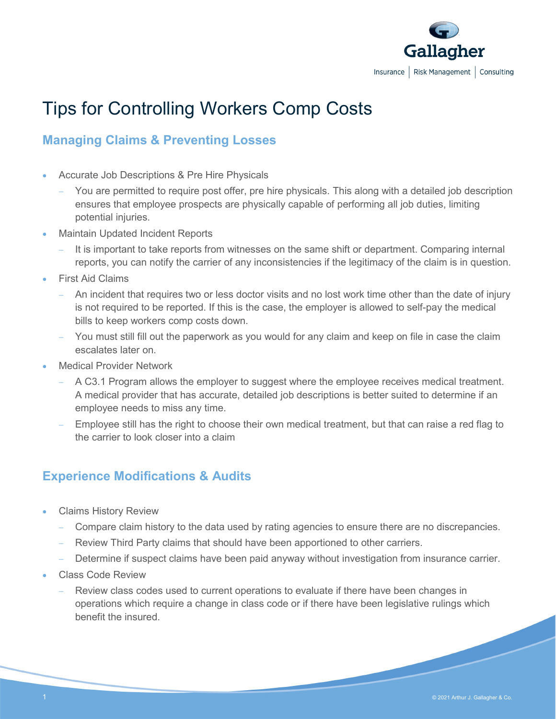

# Tips for Controlling Workers Comp Costs

## **Managing Claims & Preventing Losses**

- Accurate Job Descriptions & Pre Hire Physicals
	- You are permitted to require post offer, pre hire physicals. This along with a detailed job description ensures that employee prospects are physically capable of performing all job duties, limiting potential injuries.
- Maintain Updated Incident Reports
	- It is important to take reports from witnesses on the same shift or department. Comparing internal reports, you can notify the carrier of any inconsistencies if the legitimacy of the claim is in question.
- **First Aid Claims** 
	- An incident that requires two or less doctor visits and no lost work time other than the date of injury is not required to be reported. If this is the case, the employer is allowed to self-pay the medical bills to keep workers comp costs down.
	- You must still fill out the paperwork as you would for any claim and keep on file in case the claim escalates later on.
- Medical Provider Network
	- − A C3.1 Program allows the employer to suggest where the employee receives medical treatment. A medical provider that has accurate, detailed job descriptions is better suited to determine if an employee needs to miss any time.
	- Employee still has the right to choose their own medical treatment, but that can raise a red flag to the carrier to look closer into a claim

### **Experience Modifications & Audits**

- Claims History Review
	- Compare claim history to the data used by rating agencies to ensure there are no discrepancies.
	- Review Third Party claims that should have been apportioned to other carriers.
	- Determine if suspect claims have been paid anyway without investigation from insurance carrier.
- Class Code Review
	- Review class codes used to current operations to evaluate if there have been changes in operations which require a change in class code or if there have been legislative rulings which benefit the insured.